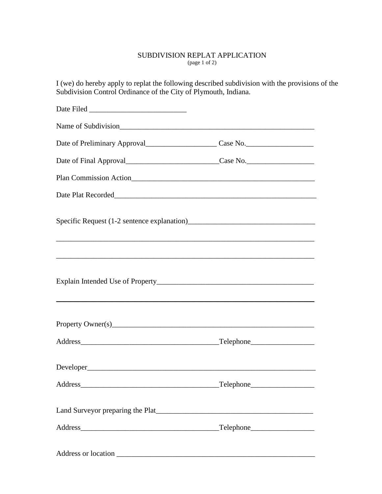## SUBDIVISION REPLAT APPLICATION (page 1 of 2)

I (we) do hereby apply to replat the following described subdivision with the provisions of the Subdivision Control Ordinance of the City of Plymouth, Indiana.